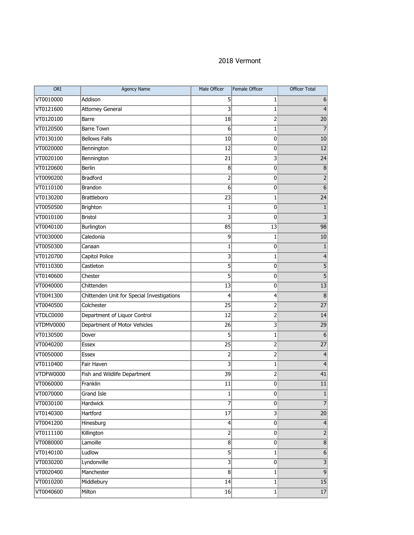## 2018 Vermont

| ORI       | <b>Agency Name</b>                         | Male Officer   | Female Officer | <b>Officer Total</b> |
|-----------|--------------------------------------------|----------------|----------------|----------------------|
| VT0010000 | Addison                                    | 5              | 1              | 6                    |
| VT0121600 | <b>Attorney General</b>                    | 3              | $\mathbf{1}$   | 4                    |
| VT0120100 | Barre                                      | 18             | 2              | 20                   |
| VT0120500 | <b>Barre Town</b>                          | 6              | $\mathbf{1}$   | 7                    |
| VT0130100 | <b>Bellows Falls</b>                       | 10             | 0              | 10                   |
| VT0020000 | Bennington                                 | 12             | 0              | 12                   |
| VT0020100 | Bennington                                 | 21             | 3              | 24                   |
| VT0120600 | <b>Berlin</b>                              | 8              | 0              | $\, 8$               |
| VT0090200 | <b>Bradford</b>                            | 2              | 0              | 2                    |
| VT0110100 | <b>Brandon</b>                             | 6              | 0              | 6                    |
| VT0130200 | Brattleboro                                | 23             | $\mathbf{1}$   | $\overline{24}$      |
| VT0050500 | Brighton                                   | 1              | 0              | 1                    |
| VT0010100 | <b>Bristol</b>                             | 3              | 0              | 3                    |
| VT0040100 | Burlington                                 | 85             | 13             | 98                   |
| VT0030000 | Caledonia                                  | 9              | 1              | 10                   |
| VT0050300 | Canaan                                     | 1              | 0              |                      |
| VT0120700 | Capitol Police                             | 3              | 1              | 4                    |
| VT0110300 | Castleton                                  | 5              | 0              | 5                    |
| VT0140600 | Chester                                    | 5              | 0              | 5                    |
| VT0040000 | Chittenden                                 | 13             | 0              | 13                   |
| VT0041300 | Chittenden Unit for Special Investigations | 4              | 4              | 8                    |
| VT0040500 | Colchester                                 | 25             | 2              | 27                   |
| VTDLC0000 | Department of Liquor Control               | 12             | $\overline{2}$ | 14                   |
| VTDMV0000 | Department of Motor Vehicles               | 26             | 3              | 29                   |
| VT0130500 | Dover                                      | 5              | 1              | 6                    |
| VT0040200 | <b>Essex</b>                               | 25             | 2              | $\overline{27}$      |
| VT0050000 | Essex                                      | $\overline{2}$ | 2              | 4                    |
| VT0110400 | Fair Haven                                 | 3              | 1              | 4                    |
| VTDFW0000 | Fish and Wildlife Department               | 39             | 2              | 41                   |
| VT0060000 | Franklin                                   | 11             | 0              | 11                   |
| VT0070000 | Grand Isle                                 | 1              | 0              | 1                    |
| VT0030100 | Hardwick                                   | 7              | 0              | $\overline{7}$       |
| VT0140300 | Hartford                                   | 17             | 3              | $\overline{20}$      |
| VT0041200 | Hinesburg                                  | $\overline{4}$ | $\overline{0}$ | 4                    |
| VT0111100 | Killington                                 | 2              | $\overline{0}$ | 2                    |
| VT0080000 | Lamoille                                   | 8              | $\overline{0}$ | $\bf{8}$             |
| VT0140100 | Ludlow                                     | 5              | 1              | $\boldsymbol{6}$     |
| VT0030200 | Lyndonville                                | 3              | $\overline{0}$ | 3                    |
| VT0020400 | Manchester                                 | 8              | 1              | $\overline{9}$       |
| VT0010200 | Middlebury                                 | 14             | 1              | 15                   |
| VT0040600 | Milton                                     | 16             | $\mathbf{1}$   | 17                   |